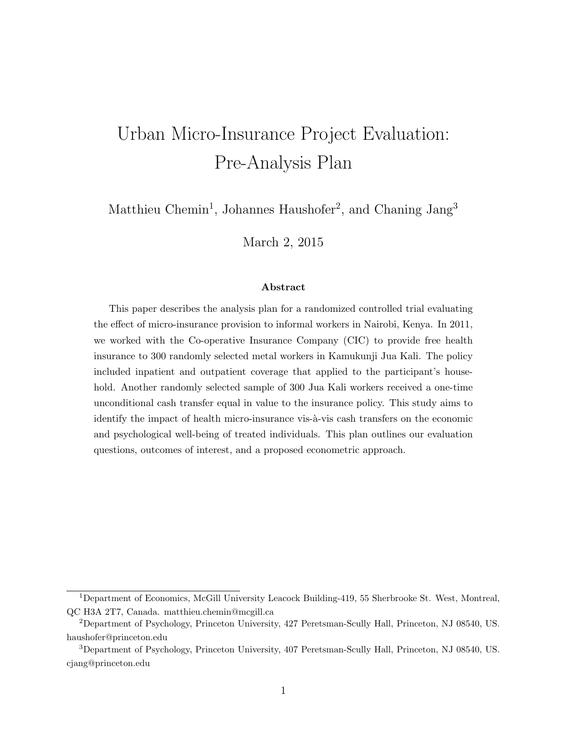# Urban Micro-Insurance Project Evaluation: Pre-Analysis Plan

Matthieu Chemin<sup>1</sup>, Johannes Haushofer<sup>2</sup>, and Chaning Jang<sup>3</sup>

March 2, 2015

#### Abstract

This paper describes the analysis plan for a randomized controlled trial evaluating the effect of micro-insurance provision to informal workers in Nairobi, Kenya. In 2011, we worked with the Co-operative Insurance Company (CIC) to provide free health insurance to 300 randomly selected metal workers in Kamukunji Jua Kali. The policy included inpatient and outpatient coverage that applied to the participant's household. Another randomly selected sample of 300 Jua Kali workers received a one-time unconditional cash transfer equal in value to the insurance policy. This study aims to identify the impact of health micro-insurance vis- $\lambda$ -vis cash transfers on the economic and psychological well-being of treated individuals. This plan outlines our evaluation questions, outcomes of interest, and a proposed econometric approach.

<sup>1</sup>Department of Economics, McGill University Leacock Building-419, 55 Sherbrooke St. West, Montreal, QC H3A 2T7, Canada. matthieu.chemin@mcgill.ca

<sup>2</sup>Department of Psychology, Princeton University, 427 Peretsman-Scully Hall, Princeton, NJ 08540, US. haushofer@princeton.edu

<sup>3</sup>Department of Psychology, Princeton University, 407 Peretsman-Scully Hall, Princeton, NJ 08540, US. cjang@princeton.edu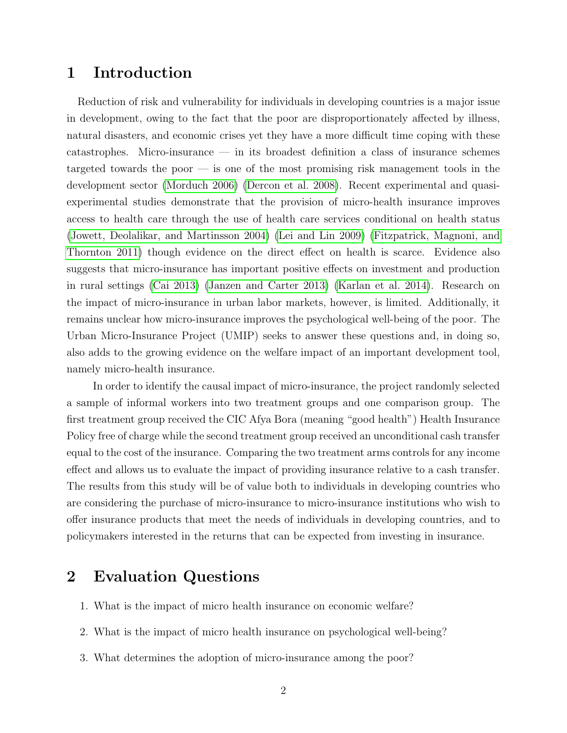### 1 Introduction

Reduction of risk and vulnerability for individuals in developing countries is a major issue in development, owing to the fact that the poor are disproportionately affected by illness, natural disasters, and economic crises yet they have a more difficult time coping with these catastrophes. Micro-insurance — in its broadest definition a class of insurance schemes targeted towards the poor — is one of the most promising risk management tools in the development sector [\(Morduch 2006\)](#page-20-0) [\(Dercon et al. 2008\)](#page-19-0). Recent experimental and quasiexperimental studies demonstrate that the provision of micro-health insurance improves access to health care through the use of health care services conditional on health status [\(Jowett, Deolalikar, and Martinsson 2004\)](#page-20-1) [\(Lei and Lin 2009\)](#page-20-2) [\(Fitzpatrick, Magnoni, and](#page-19-1) [Thornton 2011\)](#page-19-1) though evidence on the direct effect on health is scarce. Evidence also suggests that micro-insurance has important positive effects on investment and production in rural settings [\(Cai 2013\)](#page-19-2) [\(Janzen and Carter 2013\)](#page-19-3) [\(Karlan et al. 2014\)](#page-20-3). Research on the impact of micro-insurance in urban labor markets, however, is limited. Additionally, it remains unclear how micro-insurance improves the psychological well-being of the poor. The Urban Micro-Insurance Project (UMIP) seeks to answer these questions and, in doing so, also adds to the growing evidence on the welfare impact of an important development tool, namely micro-health insurance.

In order to identify the causal impact of micro-insurance, the project randomly selected a sample of informal workers into two treatment groups and one comparison group. The first treatment group received the CIC Afya Bora (meaning "good health") Health Insurance Policy free of charge while the second treatment group received an unconditional cash transfer equal to the cost of the insurance. Comparing the two treatment arms controls for any income effect and allows us to evaluate the impact of providing insurance relative to a cash transfer. The results from this study will be of value both to individuals in developing countries who are considering the purchase of micro-insurance to micro-insurance institutions who wish to offer insurance products that meet the needs of individuals in developing countries, and to policymakers interested in the returns that can be expected from investing in insurance.

# 2 Evaluation Questions

- 1. What is the impact of micro health insurance on economic welfare?
- 2. What is the impact of micro health insurance on psychological well-being?
- 3. What determines the adoption of micro-insurance among the poor?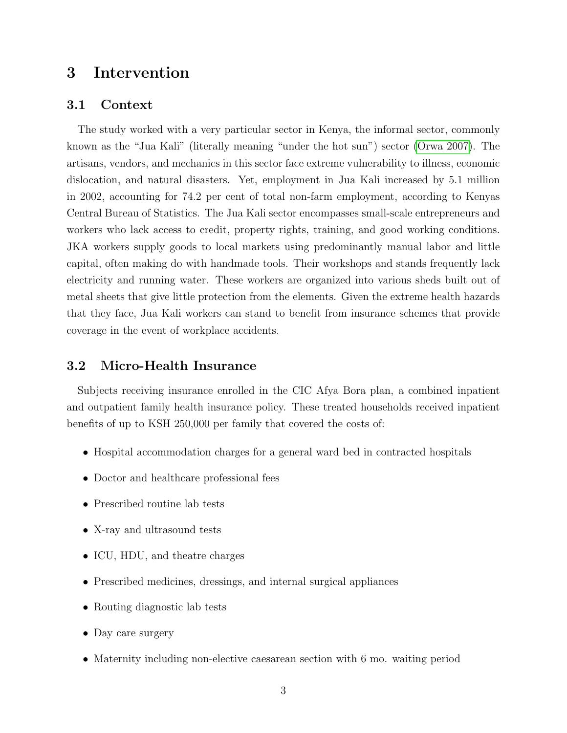# 3 Intervention

#### 3.1 Context

The study worked with a very particular sector in Kenya, the informal sector, commonly known as the "Jua Kali" (literally meaning "under the hot sun") sector [\(Orwa 2007\)](#page-20-4). The artisans, vendors, and mechanics in this sector face extreme vulnerability to illness, economic dislocation, and natural disasters. Yet, employment in Jua Kali increased by 5.1 million in 2002, accounting for 74.2 per cent of total non-farm employment, according to Kenyas Central Bureau of Statistics. The Jua Kali sector encompasses small-scale entrepreneurs and workers who lack access to credit, property rights, training, and good working conditions. JKA workers supply goods to local markets using predominantly manual labor and little capital, often making do with handmade tools. Their workshops and stands frequently lack electricity and running water. These workers are organized into various sheds built out of metal sheets that give little protection from the elements. Given the extreme health hazards that they face, Jua Kali workers can stand to benefit from insurance schemes that provide coverage in the event of workplace accidents.

#### 3.2 Micro-Health Insurance

Subjects receiving insurance enrolled in the CIC Afya Bora plan, a combined inpatient and outpatient family health insurance policy. These treated households received inpatient benefits of up to KSH 250,000 per family that covered the costs of:

- Hospital accommodation charges for a general ward bed in contracted hospitals
- Doctor and healthcare professional fees
- Prescribed routine lab tests
- X-ray and ultrasound tests
- ICU, HDU, and theatre charges
- Prescribed medicines, dressings, and internal surgical appliances
- Routing diagnostic lab tests
- Day care surgery
- Maternity including non-elective caesarean section with 6 mo. waiting period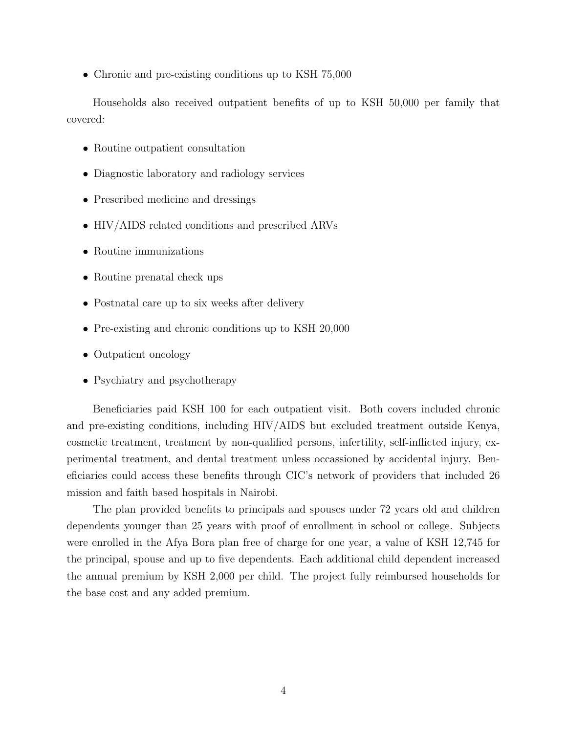• Chronic and pre-existing conditions up to KSH 75,000

Households also received outpatient benefits of up to KSH 50,000 per family that covered:

- Routine outpatient consultation
- Diagnostic laboratory and radiology services
- Prescribed medicine and dressings
- HIV/AIDS related conditions and prescribed ARVs
- Routine immunizations
- Routine prenatal check ups
- Postnatal care up to six weeks after delivery
- Pre-existing and chronic conditions up to KSH 20,000
- Outpatient oncology
- Psychiatry and psychotherapy

Beneficiaries paid KSH 100 for each outpatient visit. Both covers included chronic and pre-existing conditions, including HIV/AIDS but excluded treatment outside Kenya, cosmetic treatment, treatment by non-qualified persons, infertility, self-inflicted injury, experimental treatment, and dental treatment unless occassioned by accidental injury. Beneficiaries could access these benefits through CIC's network of providers that included 26 mission and faith based hospitals in Nairobi.

The plan provided benefits to principals and spouses under 72 years old and children dependents younger than 25 years with proof of enrollment in school or college. Subjects were enrolled in the Afya Bora plan free of charge for one year, a value of KSH 12,745 for the principal, spouse and up to five dependents. Each additional child dependent increased the annual premium by KSH 2,000 per child. The project fully reimbursed households for the base cost and any added premium.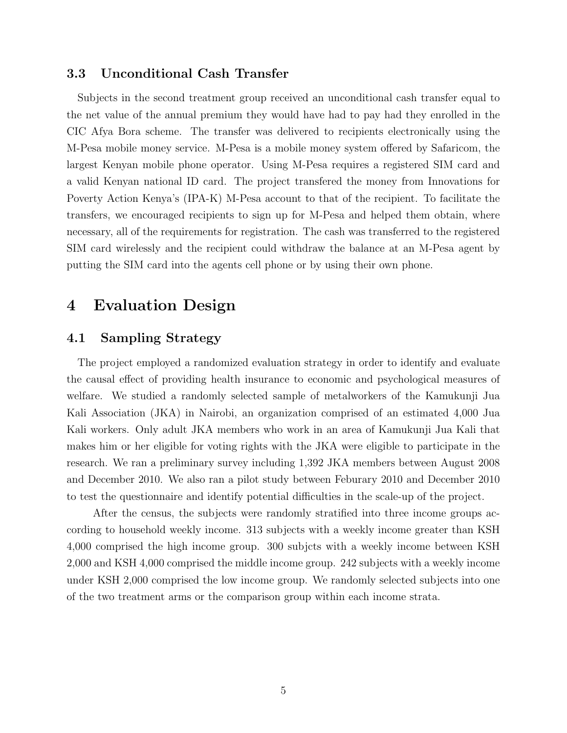#### 3.3 Unconditional Cash Transfer

Subjects in the second treatment group received an unconditional cash transfer equal to the net value of the annual premium they would have had to pay had they enrolled in the CIC Afya Bora scheme. The transfer was delivered to recipients electronically using the M-Pesa mobile money service. M-Pesa is a mobile money system offered by Safaricom, the largest Kenyan mobile phone operator. Using M-Pesa requires a registered SIM card and a valid Kenyan national ID card. The project transfered the money from Innovations for Poverty Action Kenya's (IPA-K) M-Pesa account to that of the recipient. To facilitate the transfers, we encouraged recipients to sign up for M-Pesa and helped them obtain, where necessary, all of the requirements for registration. The cash was transferred to the registered SIM card wirelessly and the recipient could withdraw the balance at an M-Pesa agent by putting the SIM card into the agents cell phone or by using their own phone.

### 4 Evaluation Design

#### 4.1 Sampling Strategy

The project employed a randomized evaluation strategy in order to identify and evaluate the causal effect of providing health insurance to economic and psychological measures of welfare. We studied a randomly selected sample of metalworkers of the Kamukunji Jua Kali Association (JKA) in Nairobi, an organization comprised of an estimated 4,000 Jua Kali workers. Only adult JKA members who work in an area of Kamukunji Jua Kali that makes him or her eligible for voting rights with the JKA were eligible to participate in the research. We ran a preliminary survey including 1,392 JKA members between August 2008 and December 2010. We also ran a pilot study between Feburary 2010 and December 2010 to test the questionnaire and identify potential difficulties in the scale-up of the project.

After the census, the subjects were randomly stratified into three income groups according to household weekly income. 313 subjects with a weekly income greater than KSH 4,000 comprised the high income group. 300 subjcts with a weekly income between KSH 2,000 and KSH 4,000 comprised the middle income group. 242 subjects with a weekly income under KSH 2,000 comprised the low income group. We randomly selected subjects into one of the two treatment arms or the comparison group within each income strata.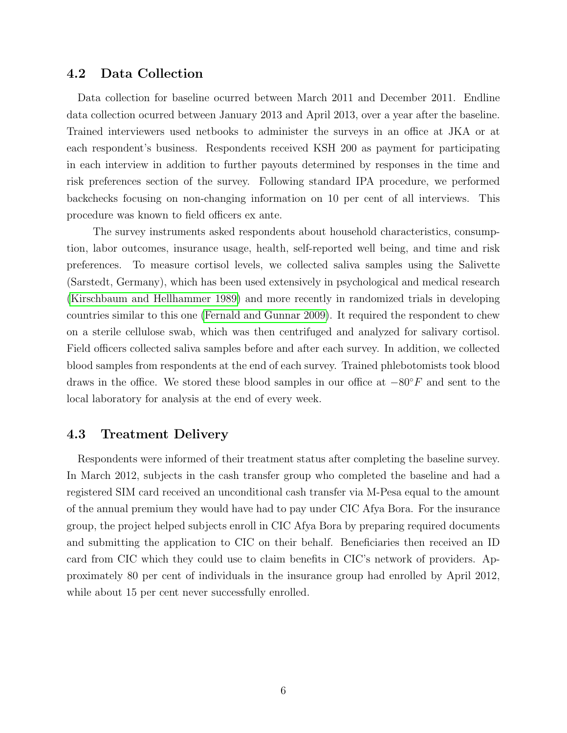#### 4.2 Data Collection

Data collection for baseline ocurred between March 2011 and December 2011. Endline data collection ocurred between January 2013 and April 2013, over a year after the baseline. Trained interviewers used netbooks to administer the surveys in an office at JKA or at each respondent's business. Respondents received KSH 200 as payment for participating in each interview in addition to further payouts determined by responses in the time and risk preferences section of the survey. Following standard IPA procedure, we performed backchecks focusing on non-changing information on 10 per cent of all interviews. This procedure was known to field officers ex ante.

The survey instruments asked respondents about household characteristics, consumption, labor outcomes, insurance usage, health, self-reported well being, and time and risk preferences. To measure cortisol levels, we collected saliva samples using the Salivette (Sarstedt, Germany), which has been used extensively in psychological and medical research [\(Kirschbaum and Hellhammer 1989\)](#page-20-5) and more recently in randomized trials in developing countries similar to this one [\(Fernald and Gunnar 2009\)](#page-19-4). It required the respondent to chew on a sterile cellulose swab, which was then centrifuged and analyzed for salivary cortisol. Field officers collected saliva samples before and after each survey. In addition, we collected blood samples from respondents at the end of each survey. Trained phlebotomists took blood draws in the office. We stored these blood samples in our office at  $-80°F$  and sent to the local laboratory for analysis at the end of every week.

#### 4.3 Treatment Delivery

Respondents were informed of their treatment status after completing the baseline survey. In March 2012, subjects in the cash transfer group who completed the baseline and had a registered SIM card received an unconditional cash transfer via M-Pesa equal to the amount of the annual premium they would have had to pay under CIC Afya Bora. For the insurance group, the project helped subjects enroll in CIC Afya Bora by preparing required documents and submitting the application to CIC on their behalf. Beneficiaries then received an ID card from CIC which they could use to claim benefits in CIC's network of providers. Approximately 80 per cent of individuals in the insurance group had enrolled by April 2012, while about 15 per cent never successfully enrolled.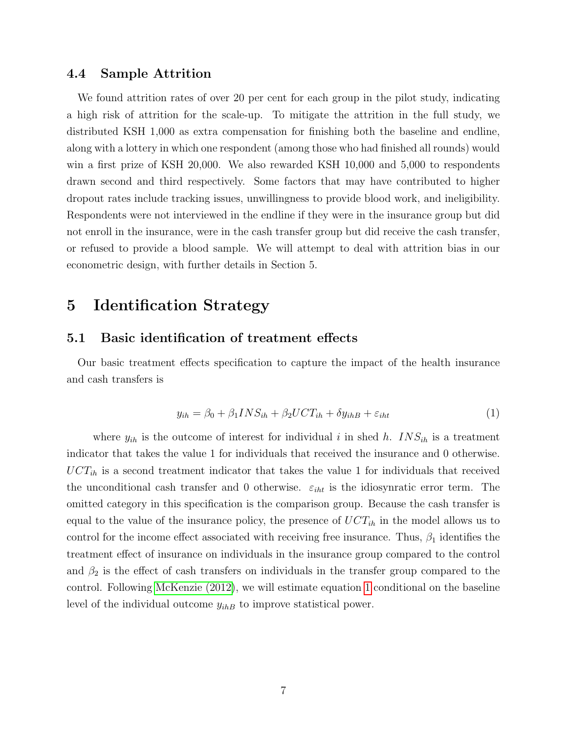#### 4.4 Sample Attrition

We found attrition rates of over 20 per cent for each group in the pilot study, indicating a high risk of attrition for the scale-up. To mitigate the attrition in the full study, we distributed KSH 1,000 as extra compensation for finishing both the baseline and endline, along with a lottery in which one respondent (among those who had finished all rounds) would win a first prize of KSH 20,000. We also rewarded KSH 10,000 and 5,000 to respondents drawn second and third respectively. Some factors that may have contributed to higher dropout rates include tracking issues, unwillingness to provide blood work, and ineligibility. Respondents were not interviewed in the endline if they were in the insurance group but did not enroll in the insurance, were in the cash transfer group but did receive the cash transfer, or refused to provide a blood sample. We will attempt to deal with attrition bias in our econometric design, with further details in Section 5.

### 5 Identification Strategy

#### 5.1 Basic identification of treatment effects

Our basic treatment effects specification to capture the impact of the health insurance and cash transfers is

<span id="page-6-0"></span>
$$
y_{ih} = \beta_0 + \beta_1 INS_{ih} + \beta_2 UCT_{ih} + \delta y_{ihB} + \varepsilon_{iht} \tag{1}
$$

where  $y_{ih}$  is the outcome of interest for individual i in shed h.  $INS_{ih}$  is a treatment indicator that takes the value 1 for individuals that received the insurance and 0 otherwise.  $\text{UCT}_{ih}$  is a second treatment indicator that takes the value 1 for individuals that received the unconditional cash transfer and 0 otherwise.  $\varepsilon_{iht}$  is the idiosynratic error term. The omitted category in this specification is the comparison group. Because the cash transfer is equal to the value of the insurance policy, the presence of  $UCT_{ih}$  in the model allows us to control for the income effect associated with receiving free insurance. Thus,  $\beta_1$  identifies the treatment effect of insurance on individuals in the insurance group compared to the control and  $\beta_2$  is the effect of cash transfers on individuals in the transfer group compared to the control. Following [McKenzie \(2012\)](#page-20-6), we will estimate equation [1](#page-6-0) conditional on the baseline level of the individual outcome  $y_{ihB}$  to improve statistical power.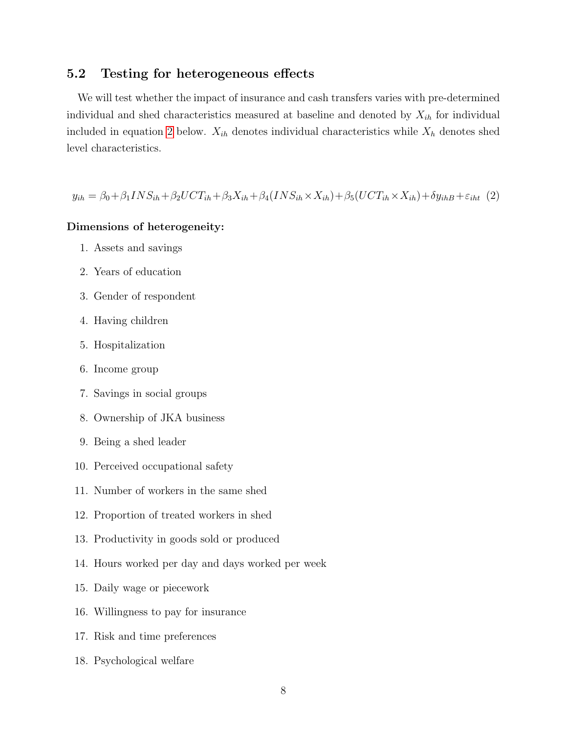### 5.2 Testing for heterogeneous effects

We will test whether the impact of insurance and cash transfers varies with pre-determined individual and shed characteristics measured at baseline and denoted by  $X_{ih}$  for individual included in equation [2](#page-7-0) below.  $X_{ih}$  denotes individual characteristics while  $X_h$  denotes shed level characteristics.

<span id="page-7-0"></span> $y_{ih} = \beta_0 + \beta_1 INS_{ih} + \beta_2 UCT_{ih} + \beta_3 X_{ih} + \beta_4 (INS_{ih} \times X_{ih}) + \beta_5 (UCT_{ih} \times X_{ih}) + \delta y_{ihB} + \varepsilon_{iht}$  (2)

#### Dimensions of heterogeneity:

- 1. Assets and savings
- 2. Years of education
- 3. Gender of respondent
- 4. Having children
- 5. Hospitalization
- 6. Income group
- 7. Savings in social groups
- 8. Ownership of JKA business
- 9. Being a shed leader
- 10. Perceived occupational safety
- 11. Number of workers in the same shed
- 12. Proportion of treated workers in shed
- 13. Productivity in goods sold or produced
- 14. Hours worked per day and days worked per week
- 15. Daily wage or piecework
- 16. Willingness to pay for insurance
- 17. Risk and time preferences
- 18. Psychological welfare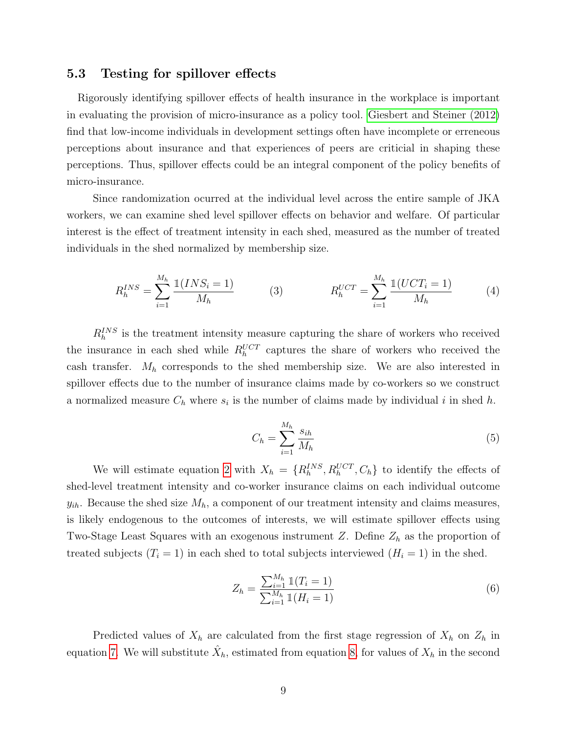#### 5.3 Testing for spillover effects

Rigorously identifying spillover effects of health insurance in the workplace is important in evaluating the provision of micro-insurance as a policy tool. [Giesbert and Steiner \(2012\)](#page-19-5) find that low-income individuals in development settings often have incomplete or erreneous perceptions about insurance and that experiences of peers are criticial in shaping these perceptions. Thus, spillover effects could be an integral component of the policy benefits of micro-insurance.

Since randomization ocurred at the individual level across the entire sample of JKA workers, we can examine shed level spillover effects on behavior and welfare. Of particular interest is the effect of treatment intensity in each shed, measured as the number of treated individuals in the shed normalized by membership size.

$$
R_h^{INS} = \sum_{i=1}^{M_h} \frac{\mathbb{1}(INS_i = 1)}{M_h} \qquad (3) \qquad R_h^{UCT} = \sum_{i=1}^{M_h} \frac{\mathbb{1}(UCT_i = 1)}{M_h} \qquad (4)
$$

 $R_h^{INS}$  is the treatment intensity measure capturing the share of workers who received the insurance in each shed while  $R_h^{UCT}$  captures the share of workers who received the cash transfer.  $M_h$  corresponds to the shed membership size. We are also interested in spillover effects due to the number of insurance claims made by co-workers so we construct a normalized measure  $C_h$  where  $s_i$  is the number of claims made by individual i in shed h.

$$
C_h = \sum_{i=1}^{M_h} \frac{s_{ih}}{M_h} \tag{5}
$$

We will estimate equation [2](#page-7-0) with  $X_h = \{R_h^{INS}, R_h^{UCT}, C_h\}$  to identify the effects of shed-level treatment intensity and co-worker insurance claims on each individual outcome  $y_{ih}$ . Because the shed size  $M_h$ , a component of our treatment intensity and claims measures, is likely endogenous to the outcomes of interests, we will estimate spillover effects using Two-Stage Least Squares with an exogenous instrument Z. Define  $Z_h$  as the proportion of treated subjects  $(T_i = 1)$  in each shed to total subjects interviewed  $(H_i = 1)$  in the shed.

$$
Z_h = \frac{\sum_{i=1}^{M_h} \mathbb{1}(T_i = 1)}{\sum_{i=1}^{M_h} \mathbb{1}(H_i = 1)}
$$
(6)

Predicted values of  $X_h$  are calculated from the first stage regression of  $X_h$  on  $Z_h$  in equation [7.](#page-9-0) We will substitute  $\hat{X}_h$ , estimated from equation [8,](#page-9-1) for values of  $X_h$  in the second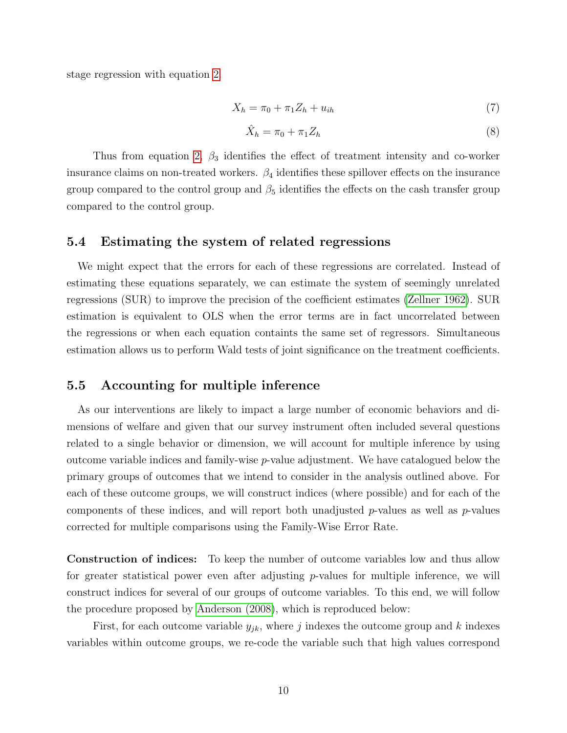stage regression with equation [2.](#page-7-0)

<span id="page-9-0"></span>
$$
X_h = \pi_0 + \pi_1 Z_h + u_{ih} \tag{7}
$$

<span id="page-9-1"></span>
$$
\hat{X}_h = \pi_0 + \pi_1 Z_h \tag{8}
$$

Thus from equation [2,](#page-7-0)  $\beta_3$  identifies the effect of treatment intensity and co-worker insurance claims on non-treated workers.  $\beta_4$  identifies these spillover effects on the insurance group compared to the control group and  $\beta_5$  identifies the effects on the cash transfer group compared to the control group.

#### 5.4 Estimating the system of related regressions

We might expect that the errors for each of these regressions are correlated. Instead of estimating these equations separately, we can estimate the system of seemingly unrelated regressions (SUR) to improve the precision of the coefficient estimates [\(Zellner 1962\)](#page-20-7). SUR estimation is equivalent to OLS when the error terms are in fact uncorrelated between the regressions or when each equation containts the same set of regressors. Simultaneous estimation allows us to perform Wald tests of joint significance on the treatment coefficients.

### 5.5 Accounting for multiple inference

As our interventions are likely to impact a large number of economic behaviors and dimensions of welfare and given that our survey instrument often included several questions related to a single behavior or dimension, we will account for multiple inference by using outcome variable indices and family-wise p-value adjustment. We have catalogued below the primary groups of outcomes that we intend to consider in the analysis outlined above. For each of these outcome groups, we will construct indices (where possible) and for each of the components of these indices, and will report both unadjusted  $p$ -values as well as  $p$ -values corrected for multiple comparisons using the Family-Wise Error Rate.

Construction of indices: To keep the number of outcome variables low and thus allow for greater statistical power even after adjusting  $p$ -values for multiple inference, we will construct indices for several of our groups of outcome variables. To this end, we will follow the procedure proposed by [Anderson \(2008\)](#page-19-6), which is reproduced below:

First, for each outcome variable  $y_{jk}$ , where j indexes the outcome group and k indexes variables within outcome groups, we re-code the variable such that high values correspond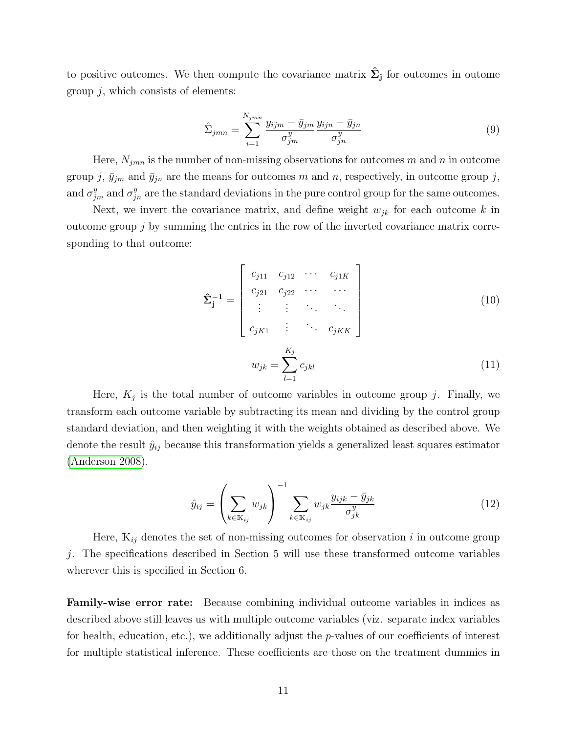to positive outcomes. We then compute the covariance matrix  $\hat{\Sigma}_{j}$  for outcomes in outome group  $j$ , which consists of elements:

$$
\hat{\Sigma}_{jmn} = \sum_{i=1}^{N_{jmn}} \frac{y_{ijm} - \bar{y}_{jm}}{\sigma_{jm}^y} \frac{y_{ijn} - \bar{y}_{jn}}{\sigma_{jn}^y} \tag{9}
$$

Here,  $N_{jmn}$  is the number of non-missing observations for outcomes m and n in outcome group j,  $\bar{y}_{jm}$  and  $\bar{y}_{jn}$  are the means for outcomes m and n, respectively, in outcome group j, and  $\sigma_{jm}^y$  and  $\sigma_{jn}^y$  are the standard deviations in the pure control group for the same outcomes.

Next, we invert the covariance matrix, and define weight  $w_{jk}$  for each outcome k in outcome group  $j$  by summing the entries in the row of the inverted covariance matrix corresponding to that outcome:

$$
\hat{\Sigma}_{j}^{-1} = \begin{bmatrix} c_{j11} & c_{j12} & \cdots & c_{j1K} \\ c_{j21} & c_{j22} & \cdots & \cdots \\ \vdots & \vdots & \ddots & \vdots \\ c_{jK1} & \vdots & \ddots & c_{jKK} \end{bmatrix}
$$
(10)  

$$
w_{jk} = \sum_{l=1}^{K_j} c_{jkl}
$$
(11)

Here,  $K_j$  is the total number of outcome variables in outcome group j. Finally, we transform each outcome variable by subtracting its mean and dividing by the control group standard deviation, and then weighting it with the weights obtained as described above. We denote the result  $\hat{y}_{ij}$  because this transformation yields a generalized least squares estimator [\(Anderson 2008\)](#page-19-6).

$$
\hat{y}_{ij} = \left(\sum_{k \in \mathbb{K}_{ij}} w_{jk}\right)^{-1} \sum_{k \in \mathbb{K}_{ij}} w_{jk} \frac{y_{ijk} - \bar{y}_{jk}}{\sigma_{jk}^y} \tag{12}
$$

Here,  $\mathbb{K}_{ij}$  denotes the set of non-missing outcomes for observation i in outcome group j. The specifications described in Section 5 will use these transformed outcome variables wherever this is specified in Section 6.

Family-wise error rate: Because combining individual outcome variables in indices as described above still leaves us with multiple outcome variables (viz. separate index variables for health, education, etc.), we additionally adjust the  $p$ -values of our coefficients of interest for multiple statistical inference. These coefficients are those on the treatment dummies in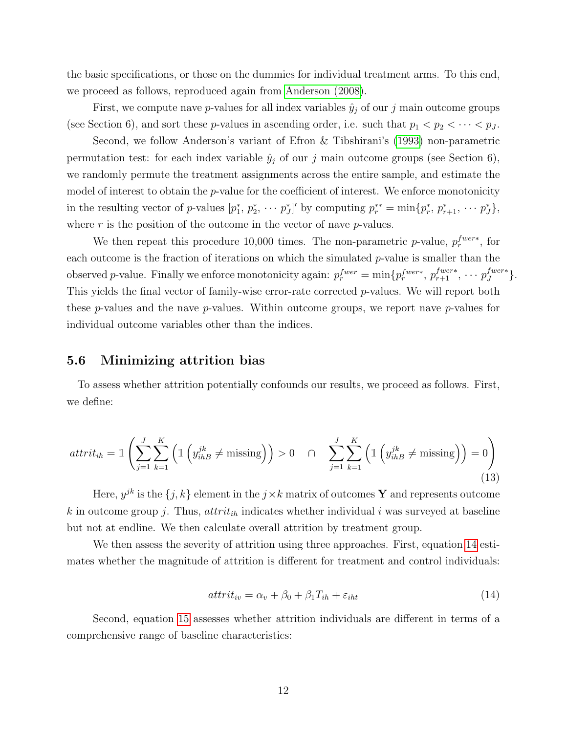the basic specifications, or those on the dummies for individual treatment arms. To this end, we proceed as follows, reproduced again from [Anderson \(2008\)](#page-19-6).

First, we compute nave p-values for all index variables  $\hat{y}_i$  of our j main outcome groups (see Section 6), and sort these p-values in ascending order, i.e. such that  $p_1 < p_2 < \cdots < p_J$ .

Second, we follow Anderson's variant of Efron & Tibshirani's [\(1993\)](#page-19-7) non-parametric permutation test: for each index variable  $\hat{y}_j$  of our j main outcome groups (see Section 6), we randomly permute the treatment assignments across the entire sample, and estimate the model of interest to obtain the *p*-value for the coefficient of interest. We enforce monotonicity in the resulting vector of p-values  $[p_1^*, p_2^*, \cdots p_J^*]'$  by computing  $p_r^{**} = \min\{p_r^*, p_{r+1}^*, \cdots p_J^*\},$ where  $r$  is the position of the outcome in the vector of nave  $p$ -values.

We then repeat this procedure 10,000 times. The non-parametric *p*-value,  $p_r^{fwer*}$ , for each outcome is the fraction of iterations on which the simulated  $p$ -value is smaller than the observed p-value. Finally we enforce monotonicity again:  $p_r^{fwer} = \min\{p_r^{fwer*}, p_{r+1}^{fwer*}, \cdots p_J^{fwer*}\}$  $_{J}^{fwer*}\}.$ This yields the final vector of family-wise error-rate corrected p-values. We will report both these p-values and the nave p-values. Within outcome groups, we report nave p-values for individual outcome variables other than the indices.

#### 5.6 Minimizing attrition bias

To assess whether attrition potentially confounds our results, we proceed as follows. First, we define:

$$
attrit_{ih} = \mathbb{1}\left(\sum_{j=1}^{J}\sum_{k=1}^{K}\left(\mathbb{1}\left(y_{ihB}^{jk} \neq \text{missing}\right)\right) > 0 \quad \cap \quad \sum_{j=1}^{J}\sum_{k=1}^{K}\left(\mathbb{1}\left(y_{ihB}^{jk} \neq \text{missing}\right)\right) = 0\right)
$$
\n(13)

Here,  $y^{jk}$  is the  $\{j,k\}$  element in the  $j \times k$  matrix of outcomes Y and represents outcome k in outcome group j. Thus,  $attribute_{ih}$  indicates whether individual i was surveyed at baseline but not at endline. We then calculate overall attrition by treatment group.

We then assess the severity of attrition using three approaches. First, equation [14](#page-11-0) estimates whether the magnitude of attrition is different for treatment and control individuals:

<span id="page-11-0"></span>
$$
attrit_{iv} = \alpha_v + \beta_0 + \beta_1 T_{ih} + \varepsilon_{iht} \tag{14}
$$

Second, equation [15](#page-12-0) assesses whether attrition individuals are different in terms of a comprehensive range of baseline characteristics: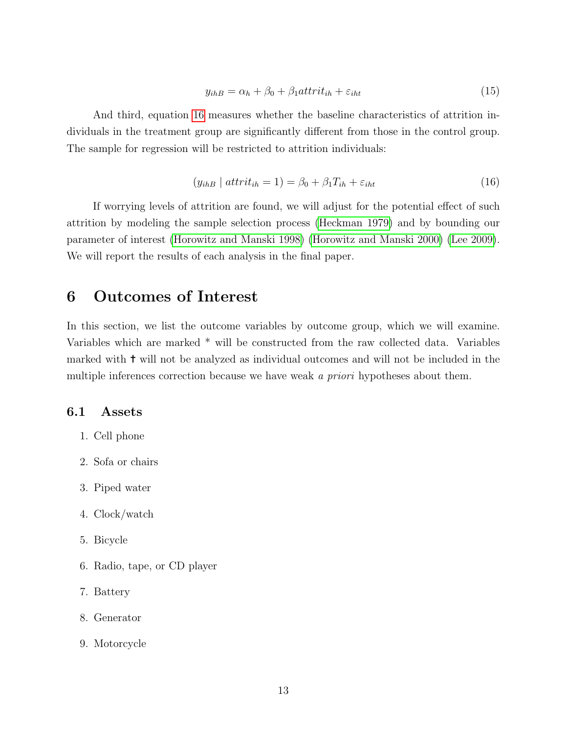<span id="page-12-0"></span>
$$
y_{ihB} = \alpha_h + \beta_0 + \beta_1 \frac{attrit_{ih} + \varepsilon_{iht}}{\varepsilon_{iht}}
$$
\n
$$
\tag{15}
$$

And third, equation [16](#page-12-1) measures whether the baseline characteristics of attrition individuals in the treatment group are significantly different from those in the control group. The sample for regression will be restricted to attrition individuals:

<span id="page-12-1"></span>
$$
(y_{ihB} | \text{attrit}_{ih} = 1) = \beta_0 + \beta_1 T_{ih} + \varepsilon_{iht}
$$
\n
$$
(16)
$$

If worrying levels of attrition are found, we will adjust for the potential effect of such attrition by modeling the sample selection process [\(Heckman 1979\)](#page-19-8) and by bounding our parameter of interest [\(Horowitz and Manski 1998\)](#page-19-9) [\(Horowitz and Manski 2000\)](#page-19-10) [\(Lee 2009\)](#page-20-8). We will report the results of each analysis in the final paper.

# 6 Outcomes of Interest

In this section, we list the outcome variables by outcome group, which we will examine. Variables which are marked \* will be constructed from the raw collected data. Variables marked with ✝ will not be analyzed as individual outcomes and will not be included in the multiple inferences correction because we have weak a *priori* hypotheses about them.

#### 6.1 Assets

- 1. Cell phone
- 2. Sofa or chairs
- 3. Piped water
- 4. Clock/watch
- 5. Bicycle
- 6. Radio, tape, or CD player
- 7. Battery
- 8. Generator
- 9. Motorcycle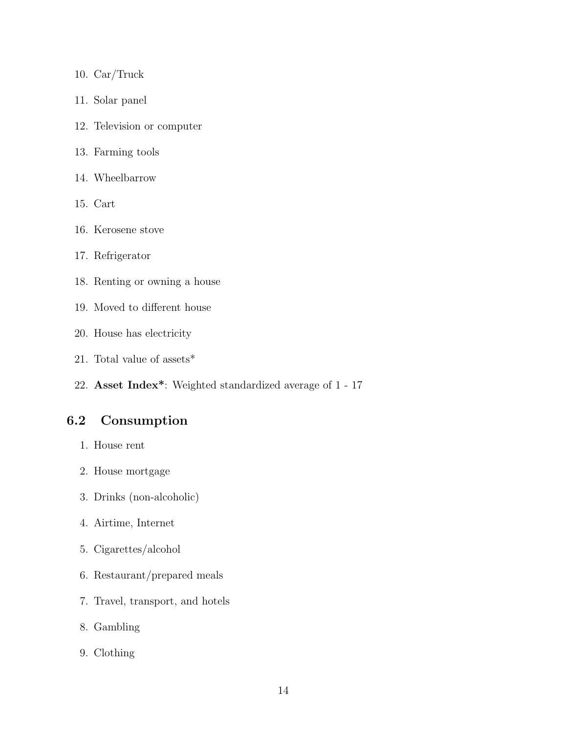- 10. Car/Truck
- 11. Solar panel
- 12. Television or computer
- 13. Farming tools
- 14. Wheelbarrow
- 15. Cart
- 16. Kerosene stove
- 17. Refrigerator
- 18. Renting or owning a house
- 19. Moved to different house
- 20. House has electricity
- 21. Total value of assets\*
- 22. Asset Index\*: Weighted standardized average of 1 17

# 6.2 Consumption

- 1. House rent
- 2. House mortgage
- 3. Drinks (non-alcoholic)
- 4. Airtime, Internet
- 5. Cigarettes/alcohol
- 6. Restaurant/prepared meals
- 7. Travel, transport, and hotels
- 8. Gambling
- 9. Clothing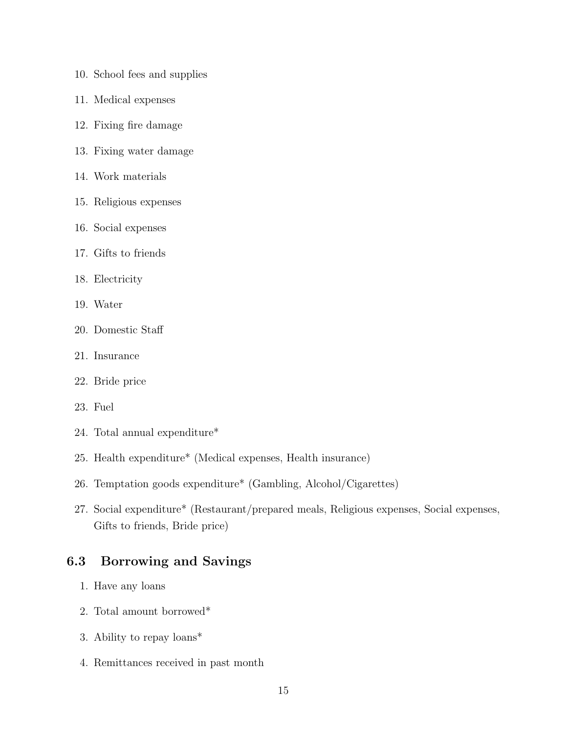- 10. School fees and supplies
- 11. Medical expenses
- 12. Fixing fire damage
- 13. Fixing water damage
- 14. Work materials
- 15. Religious expenses
- 16. Social expenses
- 17. Gifts to friends
- 18. Electricity
- 19. Water
- 20. Domestic Staff
- 21. Insurance
- 22. Bride price
- 23. Fuel
- 24. Total annual expenditure\*
- 25. Health expenditure\* (Medical expenses, Health insurance)
- 26. Temptation goods expenditure\* (Gambling, Alcohol/Cigarettes)
- 27. Social expenditure\* (Restaurant/prepared meals, Religious expenses, Social expenses, Gifts to friends, Bride price)

### 6.3 Borrowing and Savings

- 1. Have any loans
- 2. Total amount borrowed\*
- 3. Ability to repay loans\*
- 4. Remittances received in past month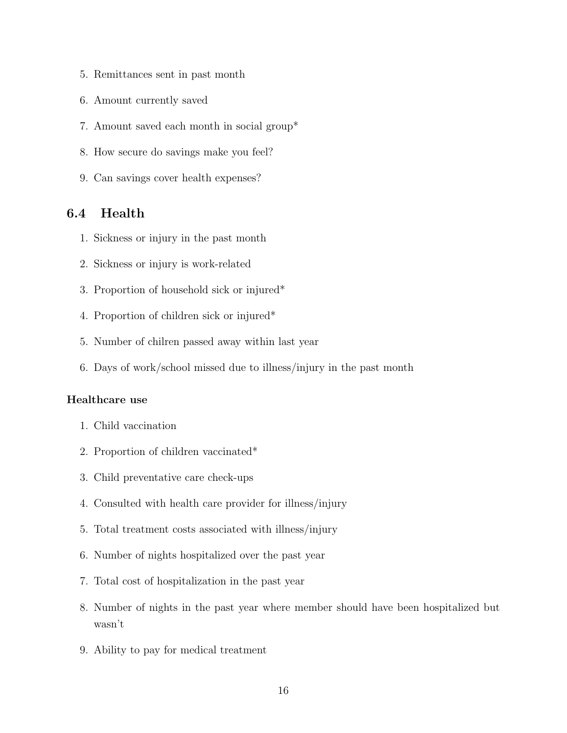- 5. Remittances sent in past month
- 6. Amount currently saved
- 7. Amount saved each month in social group\*
- 8. How secure do savings make you feel?
- 9. Can savings cover health expenses?

### 6.4 Health

- 1. Sickness or injury in the past month
- 2. Sickness or injury is work-related
- 3. Proportion of household sick or injured\*
- 4. Proportion of children sick or injured\*
- 5. Number of chilren passed away within last year
- 6. Days of work/school missed due to illness/injury in the past month

#### Healthcare use

- 1. Child vaccination
- 2. Proportion of children vaccinated\*
- 3. Child preventative care check-ups
- 4. Consulted with health care provider for illness/injury
- 5. Total treatment costs associated with illness/injury
- 6. Number of nights hospitalized over the past year
- 7. Total cost of hospitalization in the past year
- 8. Number of nights in the past year where member should have been hospitalized but wasn't
- 9. Ability to pay for medical treatment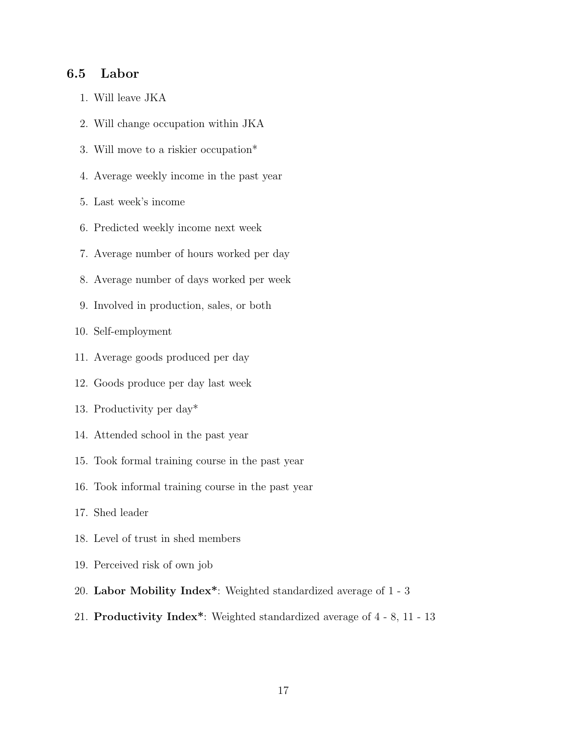#### 6.5 Labor

- 1. Will leave JKA
- 2. Will change occupation within JKA
- 3. Will move to a riskier occupation\*
- 4. Average weekly income in the past year
- 5. Last week's income
- 6. Predicted weekly income next week
- 7. Average number of hours worked per day
- 8. Average number of days worked per week
- 9. Involved in production, sales, or both

10. Self-employment

- 11. Average goods produced per day
- 12. Goods produce per day last week
- 13. Productivity per day\*
- 14. Attended school in the past year
- 15. Took formal training course in the past year
- 16. Took informal training course in the past year
- 17. Shed leader
- 18. Level of trust in shed members
- 19. Perceived risk of own job
- 20. Labor Mobility Index\*: Weighted standardized average of 1 3
- 21. Productivity Index\*: Weighted standardized average of 4 8, 11 13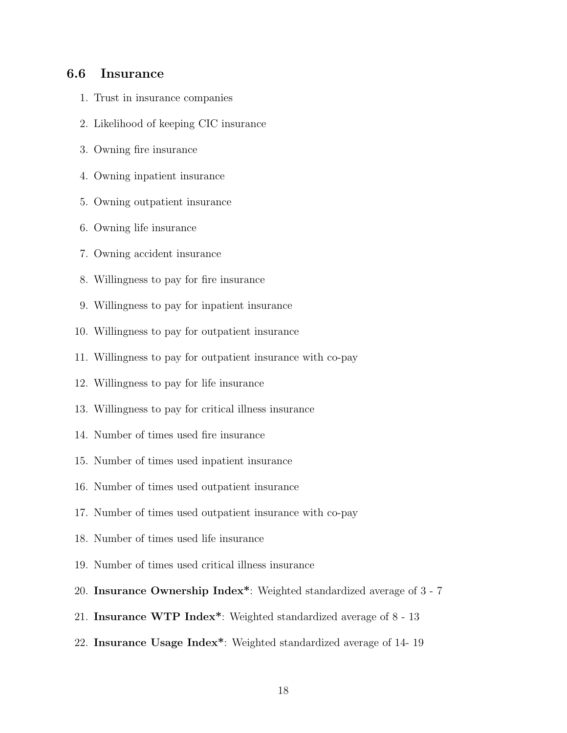#### 6.6 Insurance

- 1. Trust in insurance companies
- 2. Likelihood of keeping CIC insurance
- 3. Owning fire insurance
- 4. Owning inpatient insurance
- 5. Owning outpatient insurance
- 6. Owning life insurance
- 7. Owning accident insurance
- 8. Willingness to pay for fire insurance
- 9. Willingness to pay for inpatient insurance
- 10. Willingness to pay for outpatient insurance
- 11. Willingness to pay for outpatient insurance with co-pay
- 12. Willingness to pay for life insurance
- 13. Willingness to pay for critical illness insurance
- 14. Number of times used fire insurance
- 15. Number of times used inpatient insurance
- 16. Number of times used outpatient insurance
- 17. Number of times used outpatient insurance with co-pay
- 18. Number of times used life insurance
- 19. Number of times used critical illness insurance
- 20. Insurance Ownership Index\*: Weighted standardized average of 3 7
- 21. Insurance WTP Index\*: Weighted standardized average of 8 13
- 22. Insurance Usage Index\*: Weighted standardized average of 14- 19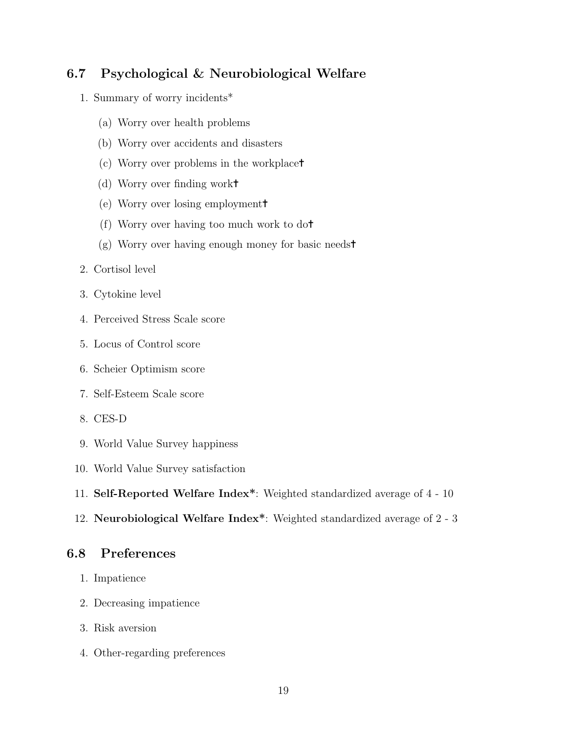### 6.7 Psychological & Neurobiological Welfare

- 1. Summary of worry incidents\*
	- (a) Worry over health problems
	- (b) Worry over accidents and disasters
	- (c) Worry over problems in the workplace✝
	- (d) Worry over finding work✝
	- (e) Worry over losing employment✝
	- (f) Worry over having too much work to do✝
	- (g) Worry over having enough money for basic needs✝
- 2. Cortisol level
- 3. Cytokine level
- 4. Perceived Stress Scale score
- 5. Locus of Control score
- 6. Scheier Optimism score
- 7. Self-Esteem Scale score
- 8. CES-D
- 9. World Value Survey happiness
- 10. World Value Survey satisfaction
- 11. Self-Reported Welfare Index\*: Weighted standardized average of 4 10
- 12. Neurobiological Welfare Index\*: Weighted standardized average of 2 3

### 6.8 Preferences

- 1. Impatience
- 2. Decreasing impatience
- 3. Risk aversion
- 4. Other-regarding preferences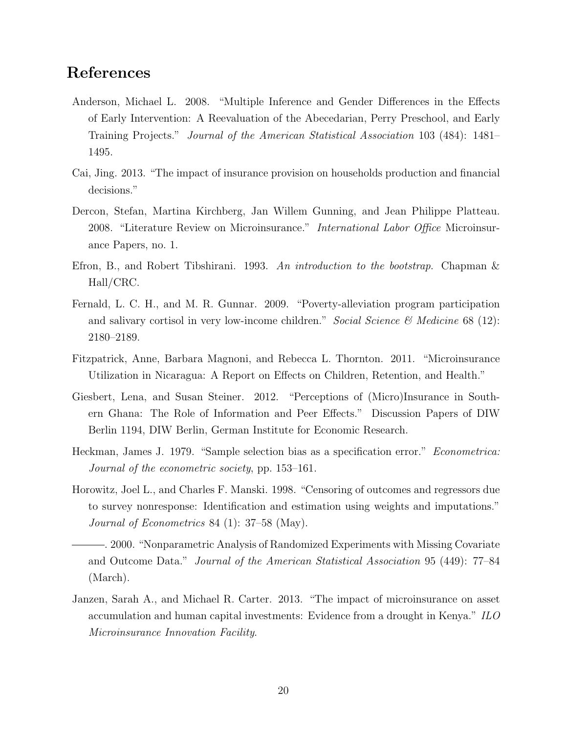# References

- <span id="page-19-6"></span>Anderson, Michael L. 2008. "Multiple Inference and Gender Differences in the Effects of Early Intervention: A Reevaluation of the Abecedarian, Perry Preschool, and Early Training Projects." Journal of the American Statistical Association 103 (484): 1481– 1495.
- <span id="page-19-2"></span>Cai, Jing. 2013. "The impact of insurance provision on households production and financial decisions."
- <span id="page-19-0"></span>Dercon, Stefan, Martina Kirchberg, Jan Willem Gunning, and Jean Philippe Platteau. 2008. "Literature Review on Microinsurance." International Labor Office Microinsurance Papers, no. 1.
- <span id="page-19-7"></span>Efron, B., and Robert Tibshirani. 1993. An introduction to the bootstrap. Chapman & Hall/CRC.
- <span id="page-19-4"></span>Fernald, L. C. H., and M. R. Gunnar. 2009. "Poverty-alleviation program participation and salivary cortisol in very low-income children." Social Science  $\mathcal{B}$  Medicine 68 (12): 2180–2189.
- <span id="page-19-1"></span>Fitzpatrick, Anne, Barbara Magnoni, and Rebecca L. Thornton. 2011. "Microinsurance Utilization in Nicaragua: A Report on Effects on Children, Retention, and Health."
- <span id="page-19-5"></span>Giesbert, Lena, and Susan Steiner. 2012. "Perceptions of (Micro)Insurance in Southern Ghana: The Role of Information and Peer Effects." Discussion Papers of DIW Berlin 1194, DIW Berlin, German Institute for Economic Research.
- <span id="page-19-8"></span>Heckman, James J. 1979. "Sample selection bias as a specification error." Econometrica: Journal of the econometric society, pp. 153–161.
- <span id="page-19-9"></span>Horowitz, Joel L., and Charles F. Manski. 1998. "Censoring of outcomes and regressors due to survey nonresponse: Identification and estimation using weights and imputations." Journal of Econometrics 84 (1): 37–58 (May).
- <span id="page-19-10"></span>. 2000. "Nonparametric Analysis of Randomized Experiments with Missing Covariate and Outcome Data." Journal of the American Statistical Association 95 (449): 77–84 (March).
- <span id="page-19-3"></span>Janzen, Sarah A., and Michael R. Carter. 2013. "The impact of microinsurance on asset accumulation and human capital investments: Evidence from a drought in Kenya." ILO Microinsurance Innovation Facility.